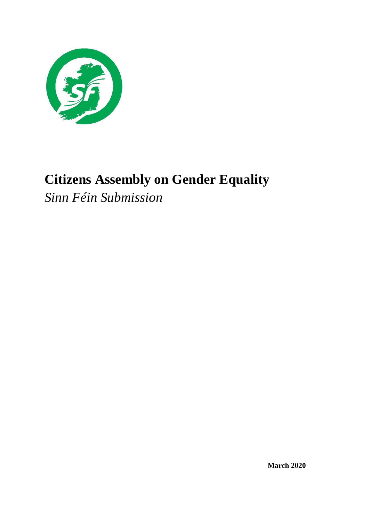

# **Citizens Assembly on Gender Equality**

*Sinn Féin Submission*

**March 2020**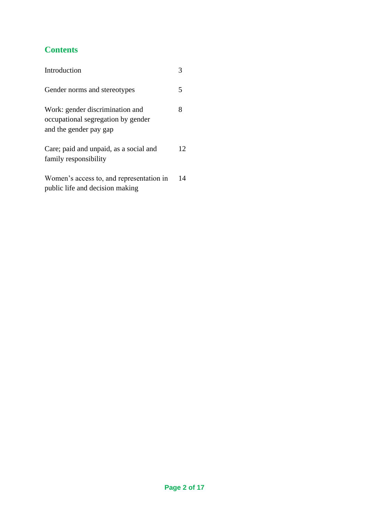# **Contents**

| Introduction                                                                                    |    |
|-------------------------------------------------------------------------------------------------|----|
| Gender norms and stereotypes                                                                    | 5  |
| Work: gender discrimination and<br>occupational segregation by gender<br>and the gender pay gap | 8  |
| Care; paid and unpaid, as a social and<br>family responsibility                                 | 12 |
| Women's access to, and representation in<br>public life and decision making                     | 14 |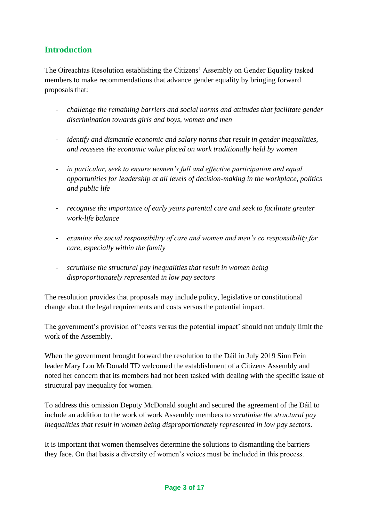# **Introduction**

The Oireachtas Resolution establishing the Citizens' Assembly on Gender Equality tasked members to make recommendations that advance gender equality by bringing forward proposals that:

- *challenge the remaining barriers and social norms and attitudes that facilitate gender discrimination towards girls and boys, women and men*
- *identify and dismantle economic and salary norms that result in gender inequalities, and reassess the economic value placed on work traditionally held by women*
- *in particular, seek to ensure women's full and effective participation and equal opportunities for leadership at all levels of decision-making in the workplace, politics and public life*
- *recognise the importance of early years parental care and seek to facilitate greater work-life balance*
- *examine the social responsibility of care and women and men's co responsibility for care, especially within the family*
- *scrutinise the structural pay inequalities that result in women being disproportionately represented in low pay sectors*

The resolution provides that proposals may include policy, legislative or constitutional change about the legal requirements and costs versus the potential impact.

The government's provision of 'costs versus the potential impact' should not unduly limit the work of the Assembly.

When the government brought forward the resolution to the Dáil in July 2019 Sinn Fein leader Mary Lou McDonald TD welcomed the establishment of a Citizens Assembly and noted her concern that its members had not been tasked with dealing with the specific issue of structural pay inequality for women.

To address this omission Deputy McDonald sought and secured the agreement of the Dáil to include an addition to the work of work Assembly members to *scrutinise the structural pay inequalities that result in women being disproportionately represented in low pay sectors.*

It is important that women themselves determine the solutions to dismantling the barriers they face. On that basis a diversity of women's voices must be included in this process.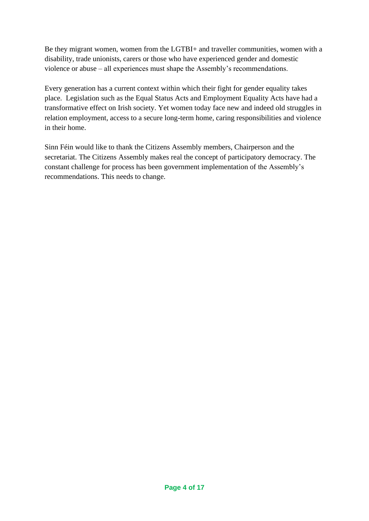Be they migrant women, women from the LGTBI+ and traveller communities, women with a disability, trade unionists, carers or those who have experienced gender and domestic violence or abuse – all experiences must shape the Assembly's recommendations.

Every generation has a current context within which their fight for gender equality takes place. Legislation such as the Equal Status Acts and Employment Equality Acts have had a transformative effect on Irish society. Yet women today face new and indeed old struggles in relation employment, access to a secure long-term home, caring responsibilities and violence in their home.

Sinn Féin would like to thank the Citizens Assembly members, Chairperson and the secretariat. The Citizens Assembly makes real the concept of participatory democracy. The constant challenge for process has been government implementation of the Assembly's recommendations. This needs to change.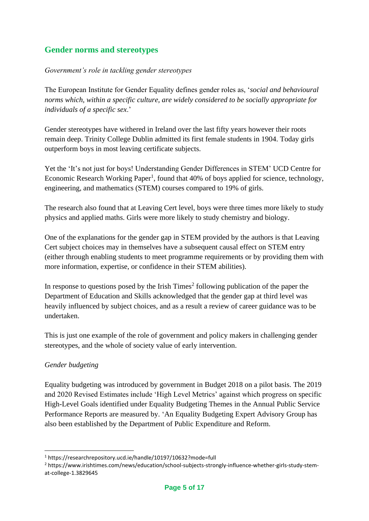# **Gender norms and stereotypes**

#### *Government's role in tackling gender stereotypes*

The European Institute for Gender Equality defines gender roles as, '*social and behavioural norms which, within a specific culture, are widely considered to be socially appropriate for individuals of a specific sex*.'

Gender stereotypes have withered in Ireland over the last fifty years however their roots remain deep. Trinity College Dublin admitted its first female students in 1904. Today girls outperform boys in most leaving certificate subjects.

Yet the 'It's not just for boys! Understanding Gender Differences in STEM' UCD Centre for Economic Research Working Paper<sup>1</sup>, found that 40% of boys applied for science, technology, engineering, and mathematics (STEM) courses compared to 19% of girls.

The research also found that at Leaving Cert level, boys were three times more likely to study physics and applied maths. Girls were more likely to study chemistry and biology.

One of the explanations for the gender gap in STEM provided by the authors is that Leaving Cert subject choices may in themselves have a subsequent causal effect on STEM entry (either through enabling students to meet programme requirements or by providing them with more information, expertise, or confidence in their STEM abilities).

In response to questions posed by the Irish Times<sup>2</sup> following publication of the paper the Department of Education and Skills acknowledged that the gender gap at third level was heavily influenced by subject choices, and as a result a review of career guidance was to be undertaken.

This is just one example of the role of government and policy makers in challenging gender stereotypes, and the whole of society value of early intervention.

## *Gender budgeting*

Equality budgeting was introduced by government in Budget 2018 on a pilot basis. The 2019 and 2020 Revised Estimates include 'High Level Metrics' against which progress on specific High-Level Goals identified under Equality Budgeting Themes in the Annual Public Service Performance Reports are measured by. 'An Equality Budgeting Expert Advisory Group has also been established by the Department of Public Expenditure and Reform.

<sup>1</sup> https://researchrepository.ucd.ie/handle/10197/10632?mode=full

<sup>2</sup> https://www.irishtimes.com/news/education/school-subjects-strongly-influence-whether-girls-study-stemat-college-1.3829645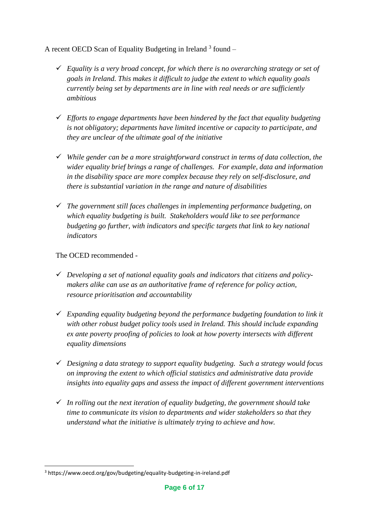A recent OECD Scan of Equality Budgeting in Ireland  $3$  found  $-$ 

- ✓ *Equality is a very broad concept, for which there is no overarching strategy or set of goals in Ireland. This makes it difficult to judge the extent to which equality goals currently being set by departments are in line with real needs or are sufficiently ambitious*
- ✓ *Efforts to engage departments have been hindered by the fact that equality budgeting is not obligatory; departments have limited incentive or capacity to participate, and they are unclear of the ultimate goal of the initiative*
- ✓ *While gender can be a more straightforward construct in terms of data collection, the wider equality brief brings a range of challenges. For example, data and information in the disability space are more complex because they rely on self-disclosure, and there is substantial variation in the range and nature of disabilities*
- ✓ *The government still faces challenges in implementing performance budgeting, on which equality budgeting is built. Stakeholders would like to see performance budgeting go further, with indicators and specific targets that link to key national indicators*

The OCED recommended -

- ✓ *Developing a set of national equality goals and indicators that citizens and policymakers alike can use as an authoritative frame of reference for policy action, resource prioritisation and accountability*
- ✓ *Expanding equality budgeting beyond the performance budgeting foundation to link it with other robust budget policy tools used in Ireland. This should include expanding ex ante poverty proofing of policies to look at how poverty intersects with different equality dimensions*
- ✓ *Designing a data strategy to support equality budgeting. Such a strategy would focus on improving the extent to which official statistics and administrative data provide insights into equality gaps and assess the impact of different government interventions*
- ✓ *In rolling out the next iteration of equality budgeting, the government should take time to communicate its vision to departments and wider stakeholders so that they understand what the initiative is ultimately trying to achieve and how.*

<sup>3</sup> https://www.oecd.org/gov/budgeting/equality-budgeting-in-ireland.pdf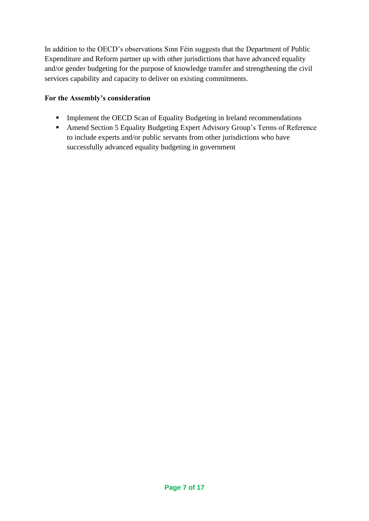In addition to the OECD's observations Sinn Féin suggests that the Department of Public Expenditure and Reform partner up with other jurisdictions that have advanced equality and/or gender budgeting for the purpose of knowledge transfer and strengthening the civil services capability and capacity to deliver on existing commitments.

- **•** Implement the OECD Scan of Equality Budgeting in Ireland recommendations
- Amend Section 5 Equality Budgeting Expert Advisory Group's Terms of Reference to include experts and/or public servants from other jurisdictions who have successfully advanced equality budgeting in government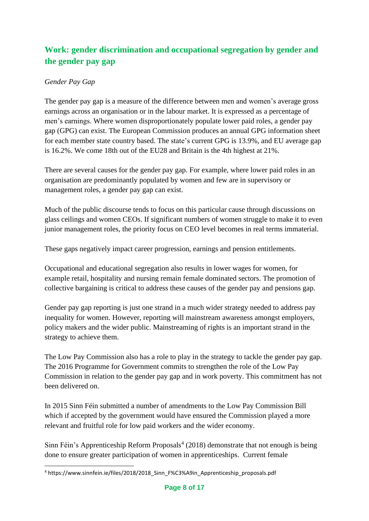# **Work: gender discrimination and occupational segregation by gender and the gender pay gap**

## *Gender Pay Gap*

The gender pay gap is a measure of the difference between men and women's average gross earnings across an organisation or in the labour market. It is expressed as a percentage of men's earnings. Where women disproportionately populate lower paid roles, a gender pay gap (GPG) can exist. The European Commission produces an annual GPG information sheet for each member state country based. The state's current GPG is 13.9%, and EU average gap is 16.2%. We come 18th out of the EU28 and Britain is the 4th highest at 21%.

There are several causes for the gender pay gap. For example, where lower paid roles in an organisation are predominantly populated by women and few are in supervisory or management roles, a gender pay gap can exist.

Much of the public discourse tends to focus on this particular cause through discussions on glass ceilings and women CEOs. If significant numbers of women struggle to make it to even junior management roles, the priority focus on CEO level becomes in real terms immaterial.

These gaps negatively impact career progression, earnings and pension entitlements.

Occupational and educational segregation also results in lower wages for women, for example retail, hospitality and nursing remain female dominated sectors. The promotion of collective bargaining is critical to address these causes of the gender pay and pensions gap.

Gender pay gap reporting is just one strand in a much wider strategy needed to address pay inequality for women. However, reporting will mainstream awareness amongst employers, policy makers and the wider public. Mainstreaming of rights is an important strand in the strategy to achieve them.

The Low Pay Commission also has a role to play in the strategy to tackle the gender pay gap. The 2016 Programme for Government commits to strengthen the role of the Low Pay Commission in relation to the gender pay gap and in work poverty. This commitment has not been delivered on.

In 2015 Sinn Féin submitted a number of amendments to the Low Pay Commission Bill which if accepted by the government would have ensured the Commission played a more relevant and fruitful role for low paid workers and the wider economy.

Sinn Féin's Apprenticeship Reform Proposals $4(2018)$  demonstrate that not enough is being done to ensure greater participation of women in apprenticeships. Current female

<sup>4</sup> https://www.sinnfein.ie/files/2018/2018\_Sinn\_F%C3%A9in\_Apprenticeship\_proposals.pdf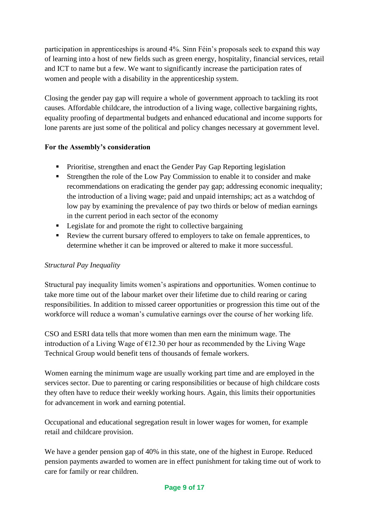participation in apprenticeships is around 4%. Sinn Féin's proposals seek to expand this way of learning into a host of new fields such as green energy, hospitality, financial services, retail and ICT to name but a few. We want to significantly increase the participation rates of women and people with a disability in the apprenticeship system.

Closing the gender pay gap will require a whole of government approach to tackling its root causes. Affordable childcare, the introduction of a living wage, collective bargaining rights, equality proofing of departmental budgets and enhanced educational and income supports for lone parents are just some of the political and policy changes necessary at government level.

# **For the Assembly's consideration**

- **•** Prioritise, strengthen and enact the Gender Pay Gap Reporting legislation
- Strengthen the role of the Low Pay Commission to enable it to consider and make recommendations on eradicating the gender pay gap; addressing economic inequality; the introduction of a living wage; paid and unpaid internships; act as a watchdog of low pay by examining the prevalence of pay two thirds or below of median earnings in the current period in each sector of the economy
- Legislate for and promote the right to collective bargaining
- Review the current bursary offered to employers to take on female apprentices, to determine whether it can be improved or altered to make it more successful.

## *Structural Pay Inequality*

Structural pay inequality limits women's aspirations and opportunities. Women continue to take more time out of the labour market over their lifetime due to child rearing or caring responsibilities. In addition to missed career opportunities or progression this time out of the workforce will reduce a woman's cumulative earnings over the course of her working life.

CSO and ESRI data tells that more women than men earn the minimum wage. The introduction of a Living Wage of  $\epsilon$ 12.30 per hour as recommended by the Living Wage Technical Group would benefit tens of thousands of female workers.

Women earning the minimum wage are usually working part time and are employed in the services sector. Due to parenting or caring responsibilities or because of high childcare costs they often have to reduce their weekly working hours. Again, this limits their opportunities for advancement in work and earning potential.

Occupational and educational segregation result in lower wages for women, for example retail and childcare provision.

We have a gender pension gap of 40% in this state, one of the highest in Europe. Reduced pension payments awarded to women are in effect punishment for taking time out of work to care for family or rear children.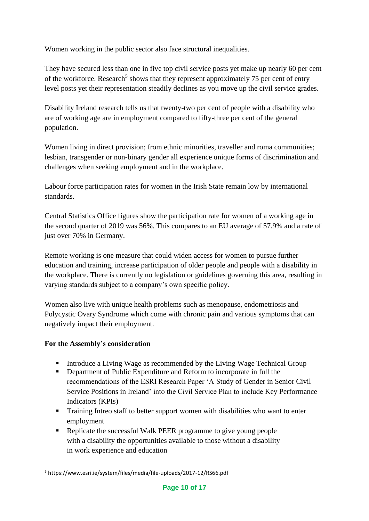Women working in the public sector also face structural inequalities.

They have secured less than one in five top civil service posts yet make up nearly 60 per cent of the workforce. Research<sup>5</sup> shows that they represent approximately 75 per cent of entry level posts yet their representation steadily declines as you move up the civil service grades.

Disability Ireland research tells us that twenty-two per cent of people with a disability who are of working age are in employment compared to fifty-three per cent of the general population.

Women living in direct provision; from ethnic minorities, traveller and roma communities; lesbian, transgender or non-binary gender all experience unique forms of discrimination and challenges when seeking employment and in the workplace.

Labour force participation rates for women in the Irish State remain low by international standards.

Central Statistics Office figures show the participation rate for women of a working age in the second quarter of 2019 was 56%. This compares to an EU average of 57.9% and a rate of just over 70% in Germany.

Remote working is one measure that could widen access for women to pursue further education and training, increase participation of older people and people with a disability in the workplace. There is currently no legislation or guidelines governing this area, resulting in varying standards subject to a company's own specific policy.

Women also live with unique health problems such as menopause, endometriosis and Polycystic Ovary Syndrome which come with chronic pain and various symptoms that can negatively impact their employment.

- **EXECUTE:** Introduce a Living Wage as recommended by the Living Wage Technical Group
- Department of Public Expenditure and Reform to incorporate in full the recommendations of the ESRI Research Paper 'A Study of Gender in Senior Civil Service Positions in Ireland' into the Civil Service Plan to include Key Performance Indicators (KPIs)
- Training Intreo staff to better support women with disabilities who want to enter employment
- Replicate the successful Walk PEER programme to give young people with a disability the opportunities available to those without a disability in work experience and education

<sup>5</sup> https://www.esri.ie/system/files/media/file-uploads/2017-12/RS66.pdf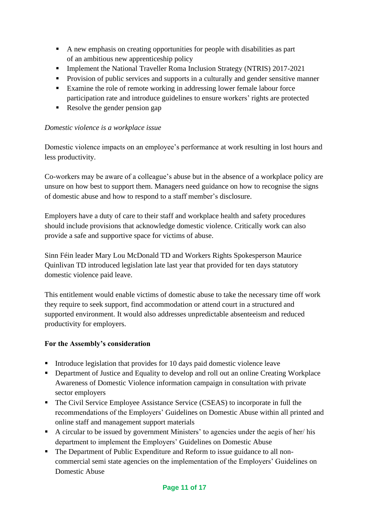- A new emphasis on creating opportunities for people with disabilities as part of an ambitious new apprenticeship policy
- **•** Implement the National Traveller Roma Inclusion Strategy (NTRIS) 2017-2021
- **•** Provision of public services and supports in a culturally and gender sensitive manner
- Examine the role of remote working in addressing lower female labour force participation rate and introduce guidelines to ensure workers' rights are protected
- Resolve the gender pension gap

#### *Domestic violence is a workplace issue*

Domestic violence impacts on an employee's performance at work resulting in lost hours and less productivity.

Co-workers may be aware of a colleague's abuse but in the absence of a workplace policy are unsure on how best to support them. Managers need guidance on how to recognise the signs of domestic abuse and how to respond to a staff member's disclosure.

Employers have a duty of care to their staff and workplace health and safety procedures should include provisions that acknowledge domestic violence. Critically work can also provide a safe and supportive space for victims of abuse.

Sinn Féin leader Mary Lou McDonald TD and Workers Rights Spokesperson Maurice Quinlivan TD introduced legislation late last year that provided for ten days statutory domestic violence paid leave.

This entitlement would enable victims of domestic abuse to take the necessary time off work they require to seek support, find accommodation or attend court in a structured and supported environment. It would also addresses unpredictable absenteeism and reduced productivity for employers.

- Introduce legislation that provides for 10 days paid domestic violence leave
- Department of Justice and Equality to develop and roll out an online Creating Workplace Awareness of Domestic Violence information campaign in consultation with private sector employers
- The Civil Service Employee Assistance Service (CSEAS) to incorporate in full the recommendations of the Employers' Guidelines on Domestic Abuse within all printed and online staff and management support materials
- A circular to be issued by government Ministers' to agencies under the aegis of her/ his department to implement the Employers' Guidelines on Domestic Abuse
- The Department of Public Expenditure and Reform to issue guidance to all noncommercial semi state agencies on the implementation of the Employers' Guidelines on Domestic Abuse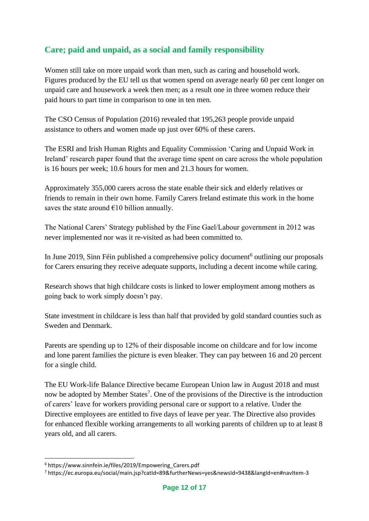# **Care; paid and unpaid, as a social and family responsibility**

Women still take on more unpaid work than men, such as caring and household work. Figures produced by the EU tell us that women spend on average nearly 60 per cent longer on unpaid care and housework a week then men; as a result one in three women reduce their paid hours to part time in comparison to one in ten men.

The CSO Census of Population (2016) revealed that 195,263 people provide unpaid assistance to others and women made up just over 60% of these carers.

The ESRI and Irish Human Rights and Equality Commission 'Caring and Unpaid Work in Ireland' research paper found that the average time spent on care across the whole population is 16 hours per week; 10.6 hours for men and 21.3 hours for women.

Approximately 355,000 carers across the state enable their sick and elderly relatives or friends to remain in their own home. Family Carers Ireland estimate this work in the home saves the state around  $E10$  billion annually.

The National Carers' Strategy published by the Fine Gael/Labour government in 2012 was never implemented nor was it re-visited as had been committed to.

In June 2019, Sinn Féin published a comprehensive policy document<sup>6</sup> outlining our proposals for Carers ensuring they receive adequate supports, including a decent income while caring.

Research shows that high childcare costs is linked to lower employment among mothers as going back to work simply doesn't pay.

State investment in childcare is less than half that provided by gold standard counties such as Sweden and Denmark.

Parents are spending up to 12% of their disposable income on childcare and for low income and lone parent families the picture is even bleaker. They can pay between 16 and 20 percent for a single child.

The EU Work-life Balance Directive became European Union law in August 2018 and must now be adopted by Member States<sup>7</sup>. One of the provisions of the Directive is the introduction of carers' leave for workers providing personal care or support to a relative. Under the Directive employees are entitled to five days of leave per year. The Directive also provides for enhanced flexible working arrangements to all working parents of children up to at least 8 years old, and all carers.

<sup>6</sup> https://www.sinnfein.ie/files/2019/Empowering\_Carers.pdf

<sup>7</sup> https://ec.europa.eu/social/main.jsp?catId=89&furtherNews=yes&newsId=9438&langId=en#navItem-3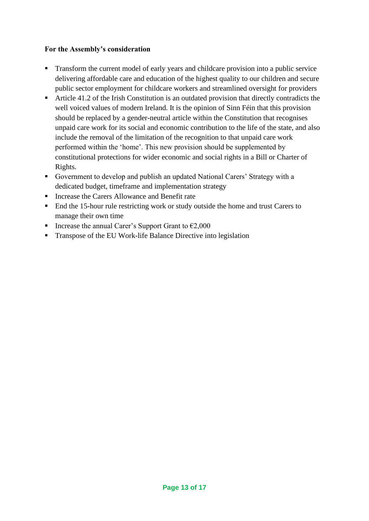- **•** Transform the current model of early years and childcare provision into a public service delivering affordable care and education of the highest quality to our children and secure public sector employment for childcare workers and streamlined oversight for providers
- Article 41.2 of the Irish Constitution is an outdated provision that directly contradicts the well voiced values of modern Ireland. It is the opinion of Sinn Féin that this provision should be replaced by a gender-neutral article within the Constitution that recognises unpaid care work for its social and economic contribution to the life of the state, and also include the removal of the limitation of the recognition to that unpaid care work performed within the 'home'. This new provision should be supplemented by constitutional protections for wider economic and social rights in a Bill or Charter of Rights.
- Government to develop and publish an updated National Carers' Strategy with a dedicated budget, timeframe and implementation strategy
- Increase the Carers Allowance and Benefit rate
- End the 15-hour rule restricting work or study outside the home and trust Carers to manage their own time
- Increase the annual Carer's Support Grant to  $€2,000$
- Transpose of the EU Work-life Balance Directive into legislation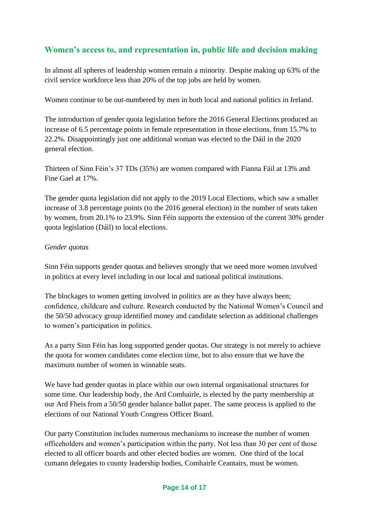# **Women's access to, and representation in, public life and decision making**

In almost all spheres of leadership women remain a minority. Despite making up 63% of the civil service workforce less than 20% of the top jobs are held by women.

Women continue to be out-numbered by men in both local and national politics in Ireland.

The introduction of gender quota legislation before the 2016 General Elections produced an increase of 6.5 percentage points in female representation in those elections, from 15.7% to 22.2%. Disappointingly just one additional woman was elected to the Dáil in the 2020 general election.

Thirteen of Sinn Féin's 37 TDs (35%) are women compared with Fianna Fáil at 13% and Fine Gael at 17%.

The gender quota legislation did not apply to the 2019 Local Elections, which saw a smaller increase of 3.8 percentage points (to the 2016 general election) in the number of seats taken by women, from 20.1% to 23.9%. Sinn Féin supports the extension of the current 30% gender quota legislation (Dáil) to local elections.

#### *Gender quotas*

Sinn Féin supports gender quotas and believes strongly that we need more women involved in politics at every level including in our local and national political institutions.

The blockages to women getting involved in politics are as they have always been; confidence, childcare and culture. Research conducted by the National Women's Council and the 50/50 advocacy group identified money and candidate selection as additional challenges to women's participation in politics.

As a party Sinn Féin has long supported gender quotas. Our strategy is not merely to achieve the quota for women candidates come election time, but to also ensure that we have the maximum number of women in winnable seats.

We have had gender quotas in place within our own internal organisational structures for some time. Our leadership body, the Ard Comhairle, is elected by the party membership at our Ard Fheis from a 50/50 gender balance ballot paper. The same process is applied to the elections of our National Youth Congress Officer Board.

Our party Constitution includes numerous mechanisms to increase the number of women officeholders and women's participation within the party. Not less than 30 per cent of those elected to all officer boards and other elected bodies are women. One third of the local cumann delegates to county leadership bodies, Comhairle Ceantairs, must be women.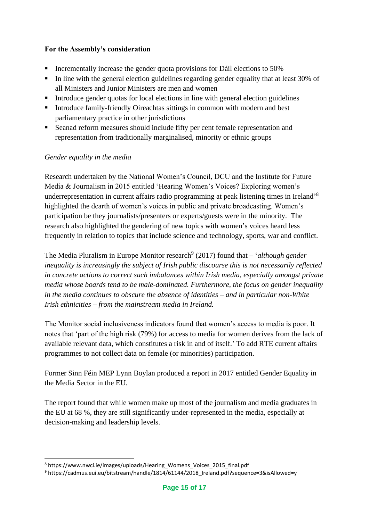### **For the Assembly's consideration**

- **•** Incrementally increase the gender quota provisions for Dáil elections to 50%
- **•** In line with the general election guidelines regarding gender equality that at least 30% of all Ministers and Junior Ministers are men and women
- Introduce gender quotas for local elections in line with general election guidelines
- Introduce family-friendly Oireachtas sittings in common with modern and best parliamentary practice in other jurisdictions
- Seanad reform measures should include fifty per cent female representation and representation from traditionally marginalised, minority or ethnic groups

#### *Gender equality in the media*

Research undertaken by the National Women's Council, DCU and the Institute for Future Media & Journalism in 2015 entitled 'Hearing Women's Voices? Exploring women's underrepresentation in current affairs radio programming at peak listening times in Ireland'<sup>8</sup> highlighted the dearth of women's voices in public and private broadcasting. Women's participation be they journalists/presenters or experts/guests were in the minority. The research also highlighted the gendering of new topics with women's voices heard less frequently in relation to topics that include science and technology, sports, war and conflict.

The Media Pluralism in Europe Monitor research<sup>9</sup> (2017) found that – *'although gender inequality is increasingly the subject of Irish public discourse this is not necessarily reflected in concrete actions to correct such imbalances within Irish media, especially amongst private media whose boards tend to be male-dominated. Furthermore, the focus on gender inequality in the media continues to obscure the absence of identities – and in particular non-White Irish ethnicities – from the mainstream media in Ireland.*

The Monitor social inclusiveness indicators found that women's access to media is poor. It notes that 'part of the high risk (79%) for access to media for women derives from the lack of available relevant data, which constitutes a risk in and of itself.' To add RTE current affairs programmes to not collect data on female (or minorities) participation.

Former Sinn Féin MEP Lynn Boylan produced a report in 2017 entitled Gender Equality in the Media Sector in the EU.

The report found that while women make up most of the journalism and media graduates in the EU at 68 %, they are still significantly under-represented in the media, especially at decision-making and leadership levels.

<sup>8</sup> https://www.nwci.ie/images/uploads/Hearing\_Womens\_Voices\_2015\_final.pdf

<sup>9</sup> https://cadmus.eui.eu/bitstream/handle/1814/61144/2018\_Ireland.pdf?sequence=3&isAllowed=y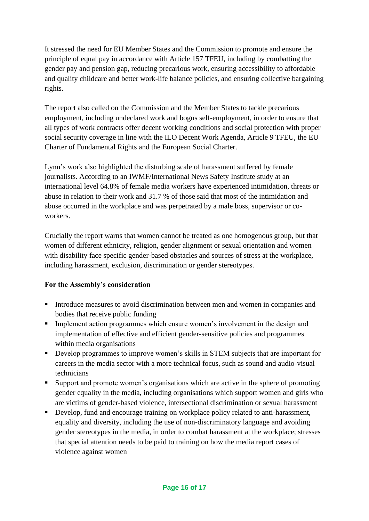It stressed the need for EU Member States and the Commission to promote and ensure the principle of equal pay in accordance with Article 157 TFEU, including by combatting the gender pay and pension gap, reducing precarious work, ensuring accessibility to affordable and quality childcare and better work-life balance policies, and ensuring collective bargaining rights.

The report also called on the Commission and the Member States to tackle precarious employment, including undeclared work and bogus self-employment, in order to ensure that all types of work contracts offer decent working conditions and social protection with proper social security coverage in line with the ILO Decent Work Agenda, Article 9 TFEU, the EU Charter of Fundamental Rights and the European Social Charter.

Lynn's work also highlighted the disturbing scale of harassment suffered by female journalists. According to an IWMF/International News Safety Institute study at an international level 64.8% of female media workers have experienced intimidation, threats or abuse in relation to their work and 31.7 % of those said that most of the intimidation and abuse occurred in the workplace and was perpetrated by a male boss, supervisor or coworkers.

Crucially the report warns that women cannot be treated as one homogenous group, but that women of different ethnicity, religion, gender alignment or sexual orientation and women with disability face specific gender-based obstacles and sources of stress at the workplace, including harassment, exclusion, discrimination or gender stereotypes.

- **Introduce measures to avoid discrimination between men and women in companies and** bodies that receive public funding
- **IMP** Implement action programmes which ensure women's involvement in the design and implementation of effective and efficient gender-sensitive policies and programmes within media organisations
- Develop programmes to improve women's skills in STEM subjects that are important for careers in the media sector with a more technical focus, such as sound and audio-visual technicians
- Support and promote women's organisations which are active in the sphere of promoting gender equality in the media, including organisations which support women and girls who are victims of gender-based violence, intersectional discrimination or sexual harassment
- **•** Develop, fund and encourage training on workplace policy related to anti-harassment, equality and diversity, including the use of non-discriminatory language and avoiding gender stereotypes in the media, in order to combat harassment at the workplace; stresses that special attention needs to be paid to training on how the media report cases of violence against women